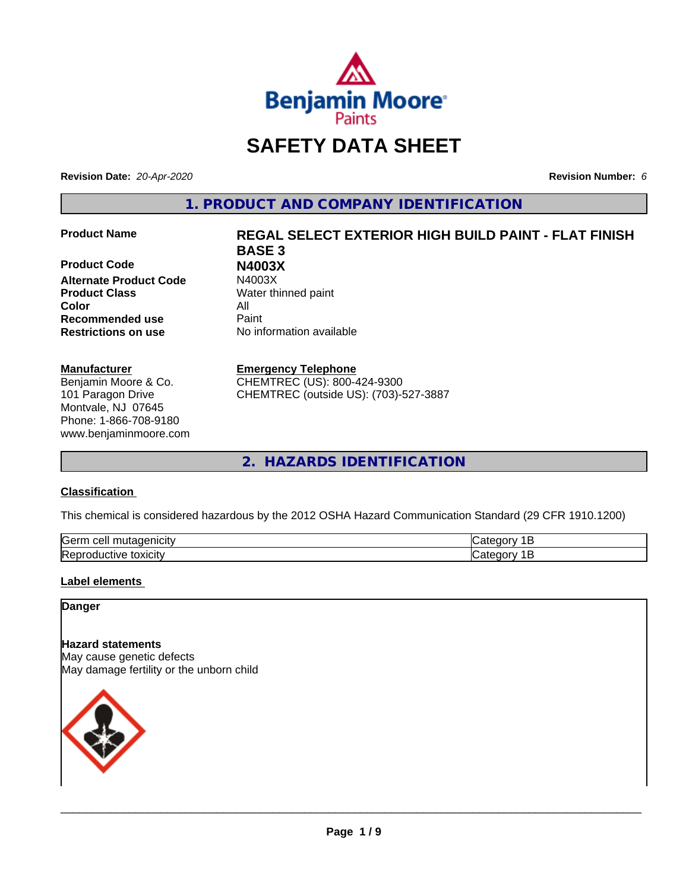

## **SAFETY DATA SHEET**

**Revision Date:** *20-Apr-2020* **Revision Number:** *6*

**1. PRODUCT AND COMPANY IDENTIFICATION**

**Product Code N4003X Alternate Product Code Product Class** Water thinned paint **Color** All **Recommended use** Paint **Restrictions on use** No information available

#### **Manufacturer**

Benjamin Moore & Co. 101 Paragon Drive Montvale, NJ 07645 Phone: 1-866-708-9180 www.benjaminmoore.com

# **Product Name REGAL SELECT EXTERIOR HIGH BUILD PAINT - FLAT FINISH BASE 3**

#### **Emergency Telephone**

CHEMTREC (US): 800-424-9300 CHEMTREC (outside US): (703)-527-3887

**2. HAZARDS IDENTIFICATION**

#### **Classification**

This chemical is considered hazardous by the 2012 OSHA Hazard Communication Standard (29 CFR 1910.1200)

| <b>Serr</b><br>---<br>$\cdot$         |  |
|---------------------------------------|--|
| <b>Re</b><br>*OXICItV<br>11<br>и<br>ш |  |

#### **Label elements**

#### **Danger**

**Hazard statements** May cause genetic defects May damage fertility or the unborn child

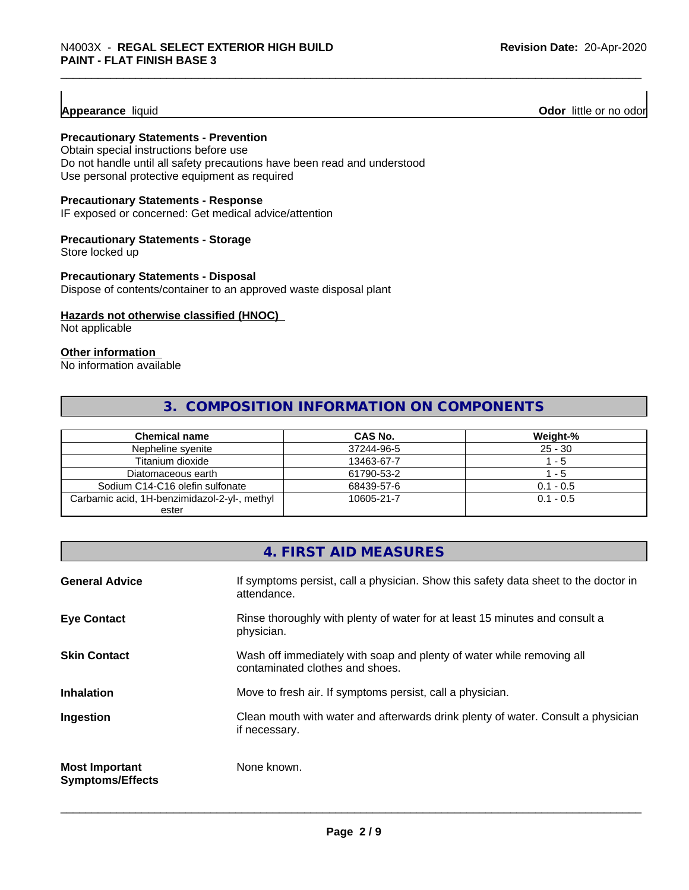**Appearance** liquid **Odor 11** Odor little or no odor

#### **Precautionary Statements - Prevention**

Obtain special instructions before use Do not handle until all safety precautions have been read and understood Use personal protective equipment as required

#### **Precautionary Statements - Response**

IF exposed or concerned: Get medical advice/attention

#### **Precautionary Statements - Storage**

Store locked up

#### **Precautionary Statements - Disposal**

Dispose of contents/container to an approved waste disposal plant

#### **Hazards not otherwise classified (HNOC)**

Not applicable

#### **Other information**

No information available

#### **3. COMPOSITION INFORMATION ON COMPONENTS**

| <b>Chemical name</b>                         | CAS No.    | Weight-%    |
|----------------------------------------------|------------|-------------|
| Nepheline svenite                            | 37244-96-5 | $25 - 30$   |
| Titanium dioxide                             | 13463-67-7 | - 5         |
| Diatomaceous earth                           | 61790-53-2 | - 5         |
| Sodium C14-C16 olefin sulfonate              | 68439-57-6 | $0.1 - 0.5$ |
| Carbamic acid, 1H-benzimidazol-2-yl-, methyl | 10605-21-7 | $0.1 - 0.5$ |
| ester                                        |            |             |

|                                                  | 4. FIRST AID MEASURES                                                                                    |
|--------------------------------------------------|----------------------------------------------------------------------------------------------------------|
| <b>General Advice</b>                            | If symptoms persist, call a physician. Show this safety data sheet to the doctor in<br>attendance.       |
| <b>Eye Contact</b>                               | Rinse thoroughly with plenty of water for at least 15 minutes and consult a<br>physician.                |
| <b>Skin Contact</b>                              | Wash off immediately with soap and plenty of water while removing all<br>contaminated clothes and shoes. |
| <b>Inhalation</b>                                | Move to fresh air. If symptoms persist, call a physician.                                                |
| Ingestion                                        | Clean mouth with water and afterwards drink plenty of water. Consult a physician<br>if necessary.        |
| <b>Most Important</b><br><b>Symptoms/Effects</b> | None known.                                                                                              |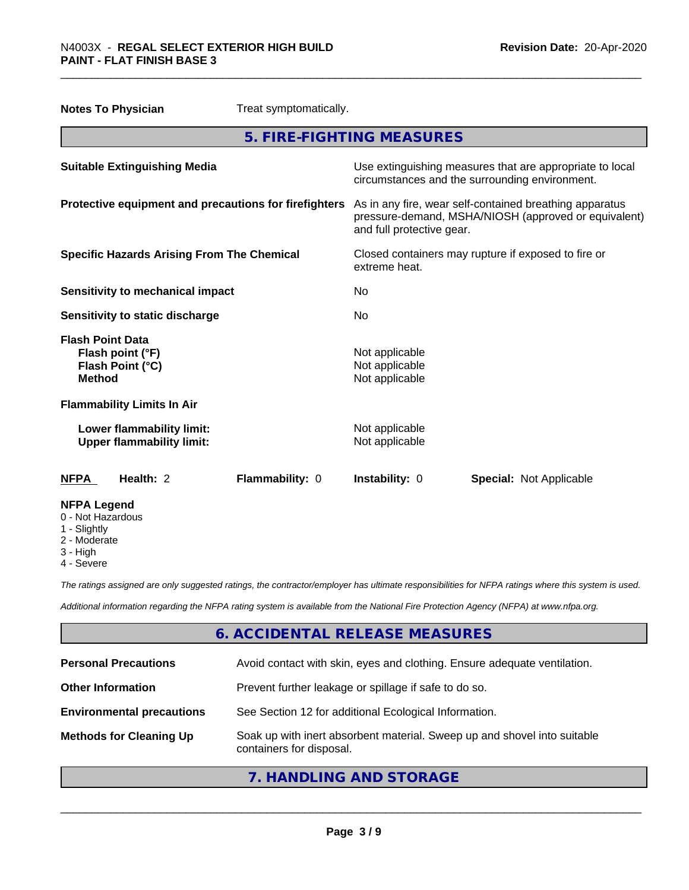| <b>Notes To Physician</b><br>Treat symptomatically.                              |                                                                                                                                              |
|----------------------------------------------------------------------------------|----------------------------------------------------------------------------------------------------------------------------------------------|
|                                                                                  | 5. FIRE-FIGHTING MEASURES                                                                                                                    |
| <b>Suitable Extinguishing Media</b>                                              | Use extinguishing measures that are appropriate to local<br>circumstances and the surrounding environment.                                   |
| Protective equipment and precautions for firefighters                            | As in any fire, wear self-contained breathing apparatus<br>pressure-demand, MSHA/NIOSH (approved or equivalent)<br>and full protective gear. |
| <b>Specific Hazards Arising From The Chemical</b>                                | Closed containers may rupture if exposed to fire or<br>extreme heat.                                                                         |
| <b>Sensitivity to mechanical impact</b>                                          | No                                                                                                                                           |
| Sensitivity to static discharge                                                  | No                                                                                                                                           |
| <b>Flash Point Data</b><br>Flash point (°F)<br>Flash Point (°C)<br><b>Method</b> | Not applicable<br>Not applicable<br>Not applicable                                                                                           |
| <b>Flammability Limits In Air</b>                                                |                                                                                                                                              |
| Lower flammability limit:<br><b>Upper flammability limit:</b>                    | Not applicable<br>Not applicable                                                                                                             |
| Health: 2<br>Flammability: 0<br><b>NFPA</b>                                      | Instability: 0<br><b>Special: Not Applicable</b>                                                                                             |
| <b>NFPA Legend</b><br>0 - Not Hazardous<br>1 - Slightly                          |                                                                                                                                              |

- 2 Moderate
- 3 High
- 4 Severe

*The ratings assigned are only suggested ratings, the contractor/employer has ultimate responsibilities for NFPA ratings where this system is used.*

*Additional information regarding the NFPA rating system is available from the National Fire Protection Agency (NFPA) at www.nfpa.org.*

#### **6. ACCIDENTAL RELEASE MEASURES**

| <b>Personal Precautions</b>      | Avoid contact with skin, eyes and clothing. Ensure adequate ventilation.                             |
|----------------------------------|------------------------------------------------------------------------------------------------------|
| <b>Other Information</b>         | Prevent further leakage or spillage if safe to do so.                                                |
| <b>Environmental precautions</b> | See Section 12 for additional Ecological Information.                                                |
| <b>Methods for Cleaning Up</b>   | Soak up with inert absorbent material. Sweep up and shovel into suitable<br>containers for disposal. |

**7. HANDLING AND STORAGE**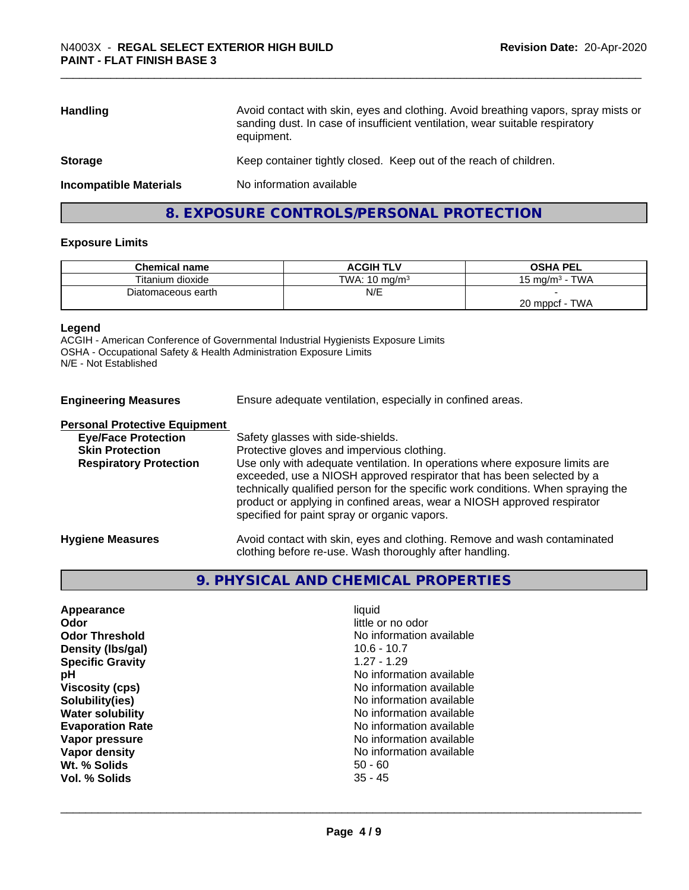| Avoid contact with skin, eyes and clothing. Avoid breathing vapors, spray mists or<br>sanding dust. In case of insufficient ventilation, wear suitable respiratory<br>equipment. |  |
|----------------------------------------------------------------------------------------------------------------------------------------------------------------------------------|--|
| Keep container tightly closed. Keep out of the reach of children.                                                                                                                |  |
| No information available                                                                                                                                                         |  |
|                                                                                                                                                                                  |  |

### **8. EXPOSURE CONTROLS/PERSONAL PROTECTION**

#### **Exposure Limits**

| <b>Chemical name</b> | <b>ACGIH TLV</b>         | <b>OSHA PEL</b>              |
|----------------------|--------------------------|------------------------------|
| Titanium dioxide     | TWA: $10 \text{ ma/m}^3$ | <b>TWA</b><br>15 ma/m $^3\,$ |
| Diatomaceous earth   | N/E                      |                              |
|                      |                          | <b>TWA</b><br>20 mppcf       |

#### **Legend**

ACGIH - American Conference of Governmental Industrial Hygienists Exposure Limits OSHA - Occupational Safety & Health Administration Exposure Limits N/E - Not Established

| <b>Engineering Measures</b>          | Ensure adequate ventilation, especially in confined areas.                                                                                                                                                                                                                                                                                                          |  |
|--------------------------------------|---------------------------------------------------------------------------------------------------------------------------------------------------------------------------------------------------------------------------------------------------------------------------------------------------------------------------------------------------------------------|--|
| <b>Personal Protective Equipment</b> |                                                                                                                                                                                                                                                                                                                                                                     |  |
| <b>Eye/Face Protection</b>           | Safety glasses with side-shields.                                                                                                                                                                                                                                                                                                                                   |  |
| <b>Skin Protection</b>               | Protective gloves and impervious clothing.                                                                                                                                                                                                                                                                                                                          |  |
| <b>Respiratory Protection</b>        | Use only with adequate ventilation. In operations where exposure limits are<br>exceeded, use a NIOSH approved respirator that has been selected by a<br>technically qualified person for the specific work conditions. When spraying the<br>product or applying in confined areas, wear a NIOSH approved respirator<br>specified for paint spray or organic vapors. |  |
| <b>Hygiene Measures</b>              | Avoid contact with skin, eyes and clothing. Remove and wash contaminated<br>clothing before re-use. Wash thoroughly after handling.                                                                                                                                                                                                                                 |  |

#### **9. PHYSICAL AND CHEMICAL PROPERTIES**

| Appearance              | liauid                   |  |
|-------------------------|--------------------------|--|
| Odor                    | little or no odor        |  |
| <b>Odor Threshold</b>   | No information available |  |
| Density (Ibs/gal)       | $10.6 - 10.7$            |  |
| <b>Specific Gravity</b> | $1.27 - 1.29$            |  |
| рH                      | No information available |  |
| <b>Viscosity (cps)</b>  | No information available |  |
| Solubility(ies)         | No information available |  |
| <b>Water solubility</b> | No information available |  |
| <b>Evaporation Rate</b> | No information available |  |
| Vapor pressure          | No information available |  |
| Vapor density           | No information available |  |
| Wt. % Solids            | $50 - 60$                |  |
| Vol. % Solids           | $35 - 45$                |  |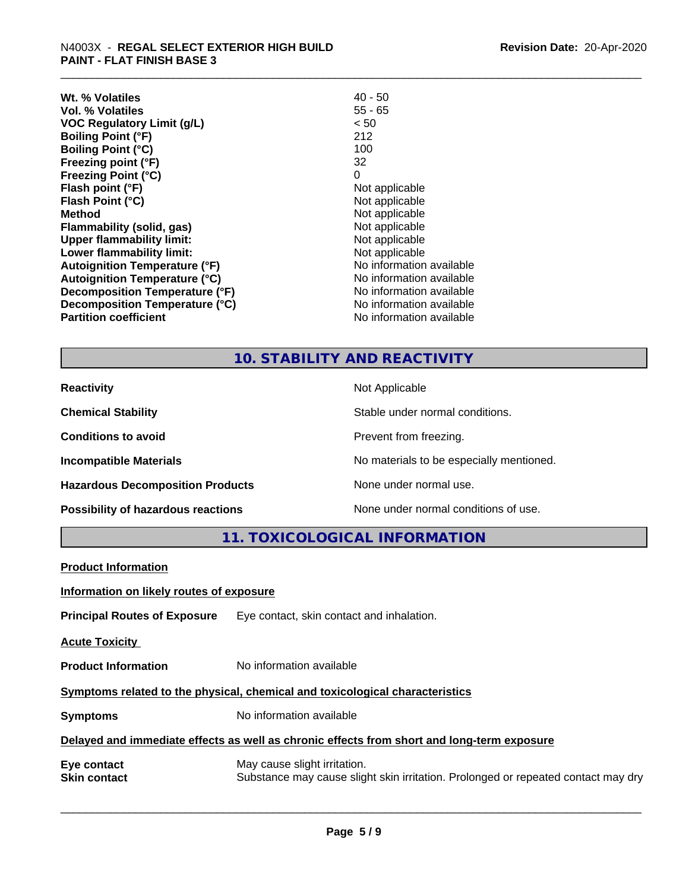| Wt. % Volatiles                      | $40 - 50$                |
|--------------------------------------|--------------------------|
| Vol. % Volatiles                     | 55 - 65                  |
| <b>VOC Regulatory Limit (g/L)</b>    | < 50                     |
| <b>Boiling Point (°F)</b>            | 212                      |
| <b>Boiling Point (°C)</b>            | 100                      |
| Freezing point (°F)                  | 32                       |
| <b>Freezing Point (°C)</b>           | 0                        |
| Flash point (°F)                     | Not applicable           |
| Flash Point (°C)                     | Not applicable           |
| <b>Method</b>                        | Not applicable           |
| Flammability (solid, gas)            | Not applicable           |
| <b>Upper flammability limit:</b>     | Not applicable           |
| Lower flammability limit:            | Not applicable           |
| <b>Autoignition Temperature (°F)</b> | No information available |
| <b>Autoignition Temperature (°C)</b> | No information available |
| Decomposition Temperature (°F)       | No information available |
| Decomposition Temperature (°C)       | No information available |
| <b>Partition coefficient</b>         | No information available |

## **10. STABILITY AND REACTIVITY**

| <b>Reactivity</b>                       | Not Applicable                           |
|-----------------------------------------|------------------------------------------|
| <b>Chemical Stability</b>               | Stable under normal conditions.          |
| <b>Conditions to avoid</b>              | Prevent from freezing.                   |
| <b>Incompatible Materials</b>           | No materials to be especially mentioned. |
| <b>Hazardous Decomposition Products</b> | None under normal use.                   |
| Possibility of hazardous reactions      | None under normal conditions of use.     |

**11. TOXICOLOGICAL INFORMATION**

| <b>Product Information</b>                                                                 |                                                                                                                   |  |
|--------------------------------------------------------------------------------------------|-------------------------------------------------------------------------------------------------------------------|--|
| Information on likely routes of exposure                                                   |                                                                                                                   |  |
| <b>Principal Routes of Exposure</b>                                                        | Eye contact, skin contact and inhalation.                                                                         |  |
| <b>Acute Toxicity</b>                                                                      |                                                                                                                   |  |
| <b>Product Information</b>                                                                 | No information available                                                                                          |  |
| Symptoms related to the physical, chemical and toxicological characteristics               |                                                                                                                   |  |
| <b>Symptoms</b>                                                                            | No information available                                                                                          |  |
| Delayed and immediate effects as well as chronic effects from short and long-term exposure |                                                                                                                   |  |
| Eye contact<br><b>Skin contact</b>                                                         | May cause slight irritation.<br>Substance may cause slight skin irritation. Prolonged or repeated contact may dry |  |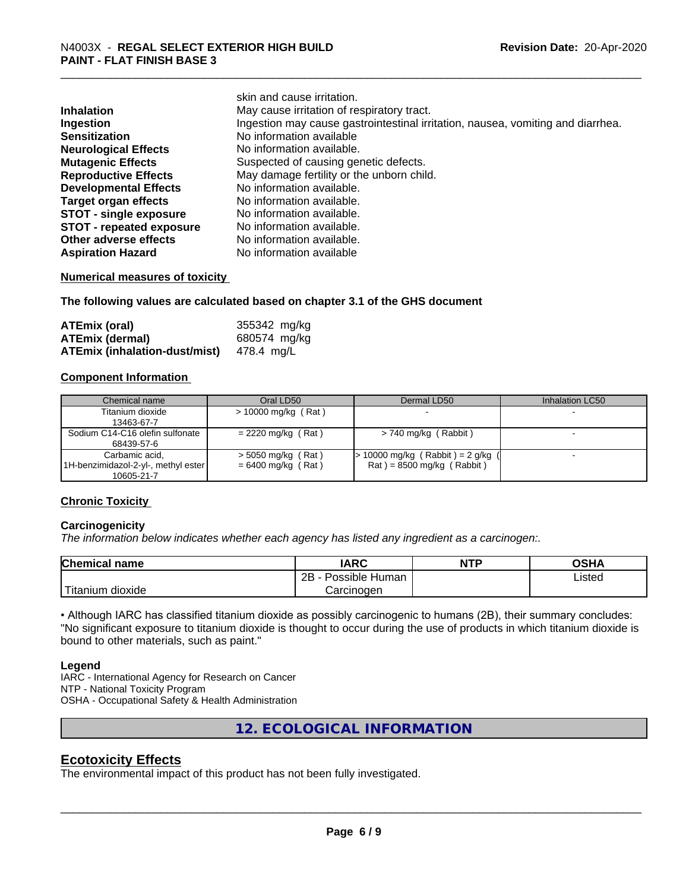|                                 | skin and cause irritation.                                                      |
|---------------------------------|---------------------------------------------------------------------------------|
| <b>Inhalation</b>               | May cause irritation of respiratory tract.                                      |
| Ingestion                       | Ingestion may cause gastrointestinal irritation, nausea, vomiting and diarrhea. |
| <b>Sensitization</b>            | No information available                                                        |
| <b>Neurological Effects</b>     | No information available.                                                       |
| <b>Mutagenic Effects</b>        | Suspected of causing genetic defects.                                           |
| <b>Reproductive Effects</b>     | May damage fertility or the unborn child.                                       |
| <b>Developmental Effects</b>    | No information available.                                                       |
| <b>Target organ effects</b>     | No information available.                                                       |
| <b>STOT - single exposure</b>   | No information available.                                                       |
| <b>STOT - repeated exposure</b> | No information available.                                                       |
| Other adverse effects           | No information available.                                                       |
| <b>Aspiration Hazard</b>        | No information available                                                        |

#### **Numerical measures of toxicity**

**The following values are calculated based on chapter 3.1 of the GHS document**

| <b>ATEmix (oral)</b>                 | 355342 mg/kg |
|--------------------------------------|--------------|
| <b>ATEmix (dermal)</b>               | 680574 mg/kg |
| <b>ATEmix (inhalation-dust/mist)</b> | 478.4 ma/L   |

#### **Component Information**

| Chemical name                       | Oral LD50             | Dermal LD50                         | Inhalation LC50 |
|-------------------------------------|-----------------------|-------------------------------------|-----------------|
| Titanium dioxide                    | $> 10000$ mg/kg (Rat) |                                     |                 |
| 13463-67-7                          |                       |                                     |                 |
| Sodium C14-C16 olefin sulfonate     | $= 2220$ mg/kg (Rat)  | $> 740$ mg/kg (Rabbit)              |                 |
| 68439-57-6                          |                       |                                     |                 |
| Carbamic acid,                      | $>$ 5050 mg/kg (Rat)  | $> 10000$ mg/kg (Rabbit) = 2 g/kg ( |                 |
| 1H-benzimidazol-2-yl-, methyl ester | $= 6400$ mg/kg (Rat)  | $Rat$ = 8500 mg/kg (Rabbit)         |                 |
| 10605-21-7                          |                       |                                     |                 |

#### **Chronic Toxicity**

#### **Carcinogenicity**

*The information below indicateswhether each agency has listed any ingredient as a carcinogen:.*

| <b>Chemical name</b> | <b>IARC</b>                  | <b>NTP</b> | OSHA   |
|----------------------|------------------------------|------------|--------|
|                      | .<br>2B<br>Possible<br>Human |            | Listed |
| Titanium dioxide     | Carcinoɑen                   |            |        |

• Although IARC has classified titanium dioxide as possibly carcinogenic to humans (2B), their summary concludes: "No significant exposure to titanium dioxide is thought to occur during the use of products in which titanium dioxide is bound to other materials, such as paint."

#### **Legend**

IARC - International Agency for Research on Cancer NTP - National Toxicity Program OSHA - Occupational Safety & Health Administration

**12. ECOLOGICAL INFORMATION**

#### **Ecotoxicity Effects**

The environmental impact of this product has not been fully investigated.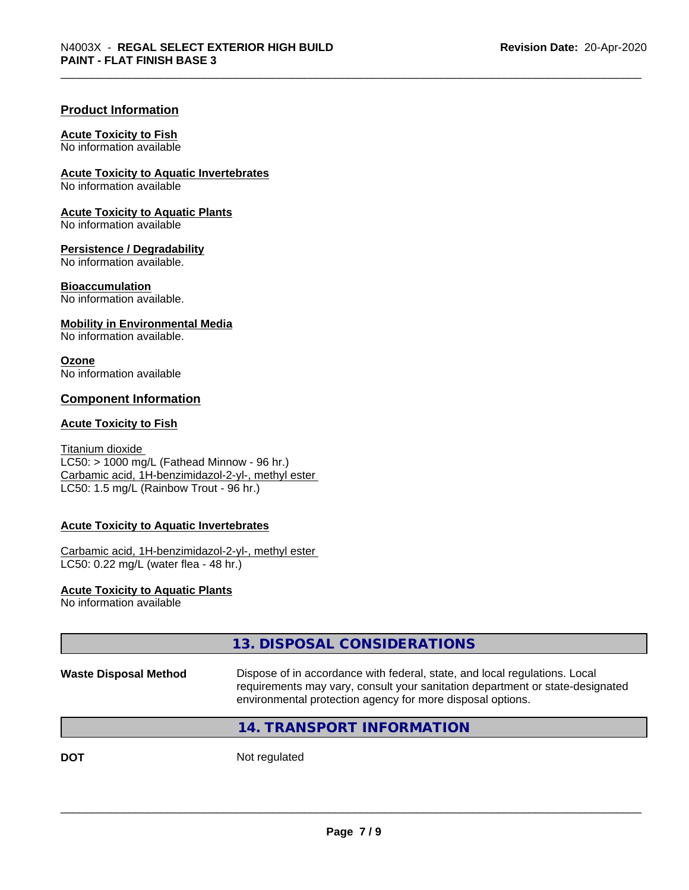#### **Product Information**

#### **Acute Toxicity to Fish**

No information available

**Acute Toxicity to Aquatic Invertebrates**

No information available

**Acute Toxicity to Aquatic Plants** No information available

**Persistence / Degradability**

No information available.

#### **Bioaccumulation**

No information available.

#### **Mobility in Environmental Media**

No information available.

#### **Ozone**

No information available

#### **Component Information**

#### **Acute Toxicity to Fish**

Titanium dioxide  $LC50:$  > 1000 mg/L (Fathead Minnow - 96 hr.) Carbamic acid, 1H-benzimidazol-2-yl-, methyl ester LC50: 1.5 mg/L (Rainbow Trout - 96 hr.)

#### **Acute Toxicity to Aquatic Invertebrates**

Carbamic acid, 1H-benzimidazol-2-yl-, methyl ester LC50: 0.22 mg/L (water flea - 48 hr.)

#### **Acute Toxicity to Aquatic Plants** No information available

### **13. DISPOSAL CONSIDERATIONS**

**Waste Disposal Method** Dispose of in accordance with federal, state, and local regulations. Local requirements may vary, consult your sanitation department or state-designated environmental protection agency for more disposal options.

 $\overline{\phantom{a}}$  ,  $\overline{\phantom{a}}$  ,  $\overline{\phantom{a}}$  ,  $\overline{\phantom{a}}$  ,  $\overline{\phantom{a}}$  ,  $\overline{\phantom{a}}$  ,  $\overline{\phantom{a}}$  ,  $\overline{\phantom{a}}$  ,  $\overline{\phantom{a}}$  ,  $\overline{\phantom{a}}$  ,  $\overline{\phantom{a}}$  ,  $\overline{\phantom{a}}$  ,  $\overline{\phantom{a}}$  ,  $\overline{\phantom{a}}$  ,  $\overline{\phantom{a}}$  ,  $\overline{\phantom{a}}$ 

#### **14. TRANSPORT INFORMATION**

**DOT** Not regulated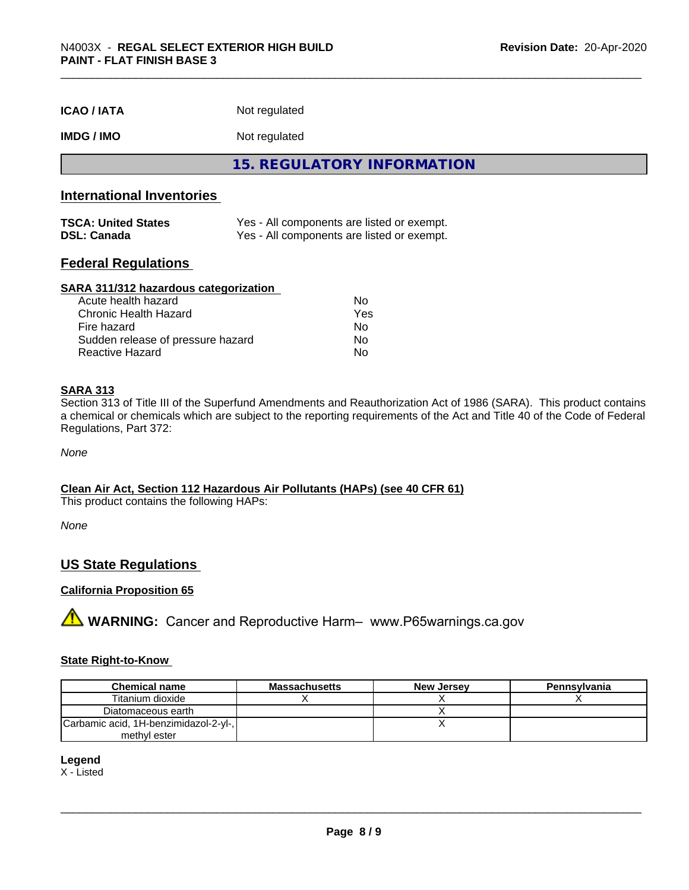| <b>ICAO / IATA</b> | Not regulated |  |
|--------------------|---------------|--|
|--------------------|---------------|--|

#### **IMDG / IMO** Not regulated

**15. REGULATORY INFORMATION**

#### **International Inventories**

| <b>TSCA: United States</b> | Yes - All components are listed or exempt. |
|----------------------------|--------------------------------------------|
| <b>DSL: Canada</b>         | Yes - All components are listed or exempt. |

#### **Federal Regulations**

#### **SARA 311/312 hazardous categorization**

| Acute health hazard               | N٥  |
|-----------------------------------|-----|
| Chronic Health Hazard             | Yes |
| Fire hazard                       | Nο  |
| Sudden release of pressure hazard | Nο  |
| Reactive Hazard                   | N٥  |

#### **SARA 313**

Section 313 of Title III of the Superfund Amendments and Reauthorization Act of 1986 (SARA). This product contains a chemical or chemicals which are subject to the reporting requirements of the Act and Title 40 of the Code of Federal Regulations, Part 372:

*None*

#### **Clean Air Act,Section 112 Hazardous Air Pollutants (HAPs) (see 40 CFR 61)**

This product contains the following HAPs:

*None*

#### **US State Regulations**

#### **California Proposition 65**

**A** WARNING: Cancer and Reproductive Harm– www.P65warnings.ca.gov

#### **State Right-to-Know**

| <b>Chemical name</b>                  | <b>Massachusetts</b> | <b>New Jersey</b> | Pennsylvania |
|---------------------------------------|----------------------|-------------------|--------------|
| Titanium dioxide                      |                      |                   |              |
| Diatomaceous earth                    |                      |                   |              |
| Carbamic acid, 1H-benzimidazol-2-yl-, |                      |                   |              |
| methyl ester                          |                      |                   |              |

**Legend**

X - Listed